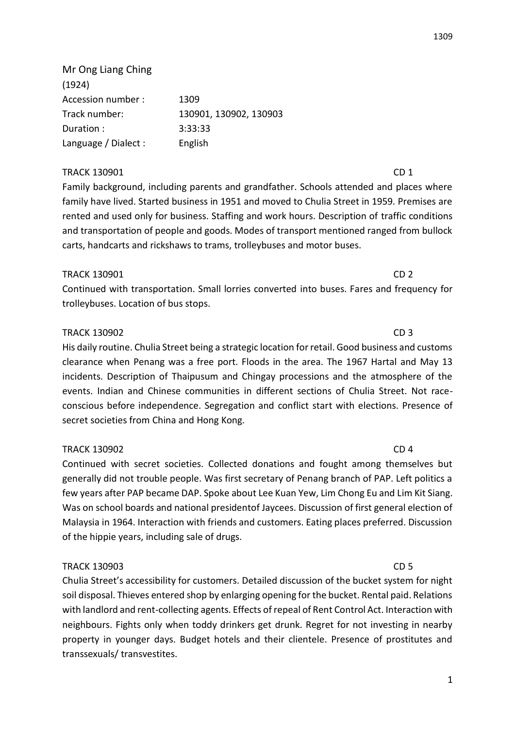1

1309

(1924) Accession number : 1309 Track number: 130901, 130902, 130903 Duration : 3:33:33 Language / Dialect : English TRACK 130901 CD 1

Mr Ong Liang Ching

Family background, including parents and grandfather. Schools attended and places where family have lived. Started business in 1951 and moved to Chulia Street in 1959. Premises are rented and used only for business. Staffing and work hours. Description of traffic conditions and transportation of people and goods. Modes of transport mentioned ranged from bullock carts, handcarts and rickshaws to trams, trolleybuses and motor buses.

## TRACK 130901 CD 2

Continued with transportation. Small lorries converted into buses. Fares and frequency for trolleybuses. Location of bus stops.

# TRACK 130902 CD 3

His daily routine. Chulia Street being a strategic location for retail. Good business and customs clearance when Penang was a free port. Floods in the area. The 1967 Hartal and May 13 incidents. Description of Thaipusum and Chingay processions and the atmosphere of the events. Indian and Chinese communities in different sections of Chulia Street. Not raceconscious before independence. Segregation and conflict start with elections. Presence of secret societies from China and Hong Kong.

# TRACK 130902 CD 4

Continued with secret societies. Collected donations and fought among themselves but generally did not trouble people. Was first secretary of Penang branch of PAP. Left politics a few years after PAP became DAP. Spoke about Lee Kuan Yew, Lim Chong Eu and Lim Kit Siang. Was on school boards and national presidentof Jaycees. Discussion of first general election of Malaysia in 1964. Interaction with friends and customers. Eating places preferred. Discussion of the hippie years, including sale of drugs.

# TRACK 130903 CD 5

Chulia Street's accessibility for customers. Detailed discussion of the bucket system for night soil disposal. Thieves entered shop by enlarging opening for the bucket. Rental paid. Relations with landlord and rent-collecting agents. Effects of repeal of Rent Control Act. Interaction with neighbours. Fights only when toddy drinkers get drunk. Regret for not investing in nearby property in younger days. Budget hotels and their clientele. Presence of prostitutes and transsexuals/ transvestites.